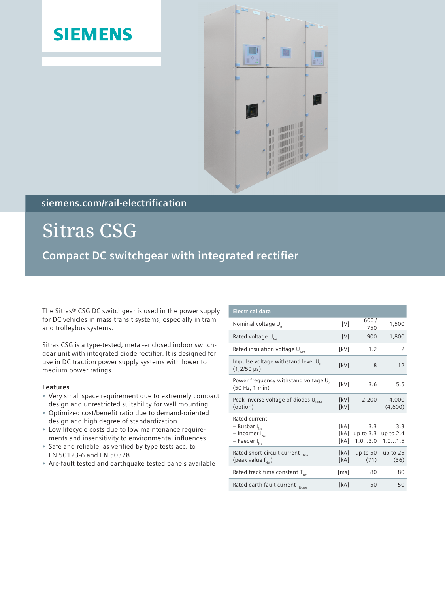## **SIEMENS**



### **siemens.com/rail-electrification**

**Sitras CSG Compact DC switchgear with integrated rectifier** 

The Sitras® CSG DC switchgear is used in the power supply for DC vehicles in mass transit systems, especially in tram and trolleybus systems.

Sitras CSG is a type-tested, metal-enclosed indoor switchgear unit with integrated diode rectifier. It is designed for use in DC traction power supply systems with lower to medium power ratings.

### **Features**

- Very small space requirement due to extremely compact design and unrestricted suitability for wall mounting
- Optimized cost/benefit ratio due to demand-oriented design and high degree of standardization
- Low lifecycle costs due to low maintenance requirements and insensitivity to environmental influences
- Safe and reliable, as verified by type tests acc. to EN 50123-6 and EN 50328
- Arc-fault tested and earthquake tested panels available

| <b>Electrical data</b>                                                                   |                      |                              |                              |
|------------------------------------------------------------------------------------------|----------------------|------------------------------|------------------------------|
| Nominal voltage U <sub>n</sub>                                                           | [V]                  | 6001<br>750                  | 1,500                        |
| Rated voltage U <sub>Ne</sub>                                                            | [V]                  | 900                          | 1,800                        |
| Rated insulation voltage $U_{\text{Nm}}$                                                 | [kV]                 | 1.2                          | 2                            |
| Impulse voltage withstand level U <sub>Ni</sub><br>$(1,2/50 \,\mu s)$                    | [kV]                 | 8                            | 12                           |
| Power frequency withstand voltage U<br>(50 Hz, 1 min)                                    | [kV]                 | 3.6                          | 5.5                          |
| Peak inverse voltage of diodes URRM<br>(option)                                          | [kV]<br>[kV]         | 2,200                        | 4,000<br>(4,600)             |
| Rated current<br>$-$ Busbar $I_{Ne}$<br>$-$ Incomer $I_{Ne}$<br>- Feeder I <sub>Ne</sub> | [kA]<br>[kA]<br>[kA] | 3.3<br>up to $3.3$<br>1.03.0 | 3.3<br>up to $2.4$<br>1.01.5 |
| Rated short-circuit current I <sub>Nss</sub><br>(peak value $\tilde{I}_{NSE}$ )          | [kA]<br>[kA]         | up to $50$<br>(71)           | up to $25$<br>(36)           |
| Rated track time constant $T_{\text{nc}}$                                                | [ms]                 | 80                           | 80                           |
| Rated earth fault current INCWE                                                          | [kA]                 | 50                           | 50                           |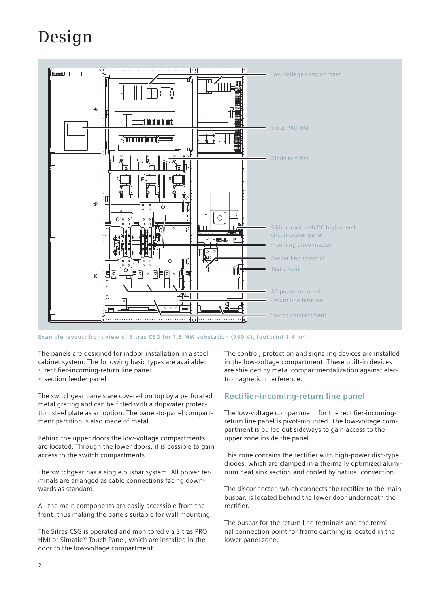# **Design**



**Example layout: front view of Sitras CSG for 1.5 MW substation (750 V), footprint 1.4 m²**

The panels are designed for indoor installation in a steel cabinet system. The following basic types are available: • rectifier-incoming-return line panel

section feeder panel

The switchgear panels are covered on top by a perforated metal grating and can be fitted with a dripwater protection steel plate as an option. The panel-to-panel compartment partition is also made of metal.

Behind the upper doors the low-voltage compartments are located. Through the lower doors, it is possible to gain access to the switch compartments.

The switchgear has a single busbar system. All power terminals are arranged as cable connections facing downwards as standard.

All the main components are easily accessible from the front, thus making the panels suitable for wall mounting.

The Sitras CSG is operated and monitored via Sitras PRO HMI or Simatic® Touch Panel, which are installed in the door to the low-voltage compartment.

The control, protection and signaling devices are installed in the low-voltage compartment. These built-in devices are shielded by metal compartmentalization against electromagnetic interference.

### **Rectifier-incoming-return line panel**

The low-voltage compartment for the rectifier-incomingreturn line panel is pivot-mounted. The low-voltage compartment is pulled out sideways to gain access to the upper zone inside the panel.

This zone contains the rectifier with high-power disc-type diodes, which are clamped in a thermally optimized aluminum heat sink section and cooled by natural convection.

The disconnector, which connects the rectifier to the main busbar, is located behind the lower door underneath the rectifier.

The busbar for the return line terminals and the terminal connection point for frame earthing is located in the lower panel zone.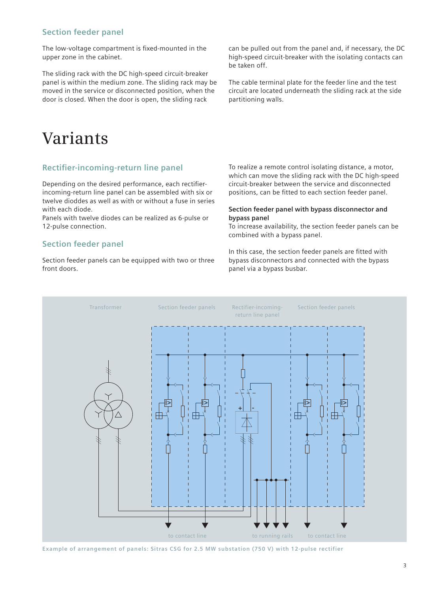### **Section feeder panel**

The low-voltage compartment is fixed-mounted in the upper zone in the cabinet.

The sliding rack with the DC high-speed circuit-breaker panel is within the medium zone. The sliding rack may be moved in the service or disconnected position, when the door is closed. When the door is open, the sliding rack

can be pulled out from the panel and, if necessary, the DC high-speed circuit-breaker with the isolating contacts can be taken off.

The cable terminal plate for the feeder line and the test circuit are located underneath the sliding rack at the side partitioning walls.

### **Variants**

### **Rectifier-incoming-return line panel**

Depending on the desired performance, each rectifierincoming-return line panel can be assembled with six or twelve dioddes as well as with or without a fuse in series with each diode.

Panels with twelve diodes can be realized as 6-pulse or 12-pulse connection.

### **Section feeder panel**

Section feeder panels can be equipped with two or three front doors.

To realize a remote control isolating distance, a motor, which can move the sliding rack with the DC high-speed circuit-breaker between the service and disconnected positions, can be fitted to each section feeder panel.

#### **Section feeder panel with bypass disconnector and bypass panel**

To increase availability, the section feeder panels can be combined with a bypass panel.

In this case, the section feeder panels are fitted with bypass disconnectors and connected with the bypass panel via a bypass busbar.



**Example of arrangement of panels: Sitras CSG for 2.5 MW substation (750 V) with 12-pulse rectifier**